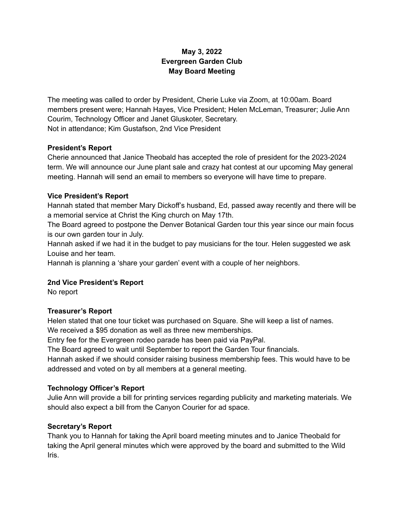# **May 3, 2022 Evergreen Garden Club May Board Meeting**

The meeting was called to order by President, Cherie Luke via Zoom, at 10:00am. Board members present were; Hannah Hayes, Vice President; Helen McLeman, Treasurer; Julie Ann Courim, Technology Officer and Janet Gluskoter, Secretary. Not in attendance; Kim Gustafson, 2nd Vice President

#### **President's Report**

Cherie announced that Janice Theobald has accepted the role of president for the 2023-2024 term. We will announce our June plant sale and crazy hat contest at our upcoming May general meeting. Hannah will send an email to members so everyone will have time to prepare.

### **Vice President's Report**

Hannah stated that member Mary Dickoff's husband, Ed, passed away recently and there will be a memorial service at Christ the King church on May 17th.

The Board agreed to postpone the Denver Botanical Garden tour this year since our main focus is our own garden tour in July.

Hannah asked if we had it in the budget to pay musicians for the tour. Helen suggested we ask Louise and her team.

Hannah is planning a 'share your garden' event with a couple of her neighbors.

#### **2nd Vice President's Report**

No report

#### **Treasurer's Report**

Helen stated that one tour ticket was purchased on Square. She will keep a list of names. We received a \$95 donation as well as three new memberships.

Entry fee for the Evergreen rodeo parade has been paid via PayPal.

The Board agreed to wait until September to report the Garden Tour financials.

Hannah asked if we should consider raising business membership fees. This would have to be addressed and voted on by all members at a general meeting.

## **Technology Officer's Report**

Julie Ann will provide a bill for printing services regarding publicity and marketing materials. We should also expect a bill from the Canyon Courier for ad space.

#### **Secretary's Report**

Thank you to Hannah for taking the April board meeting minutes and to Janice Theobald for taking the April general minutes which were approved by the board and submitted to the Wild Iris.